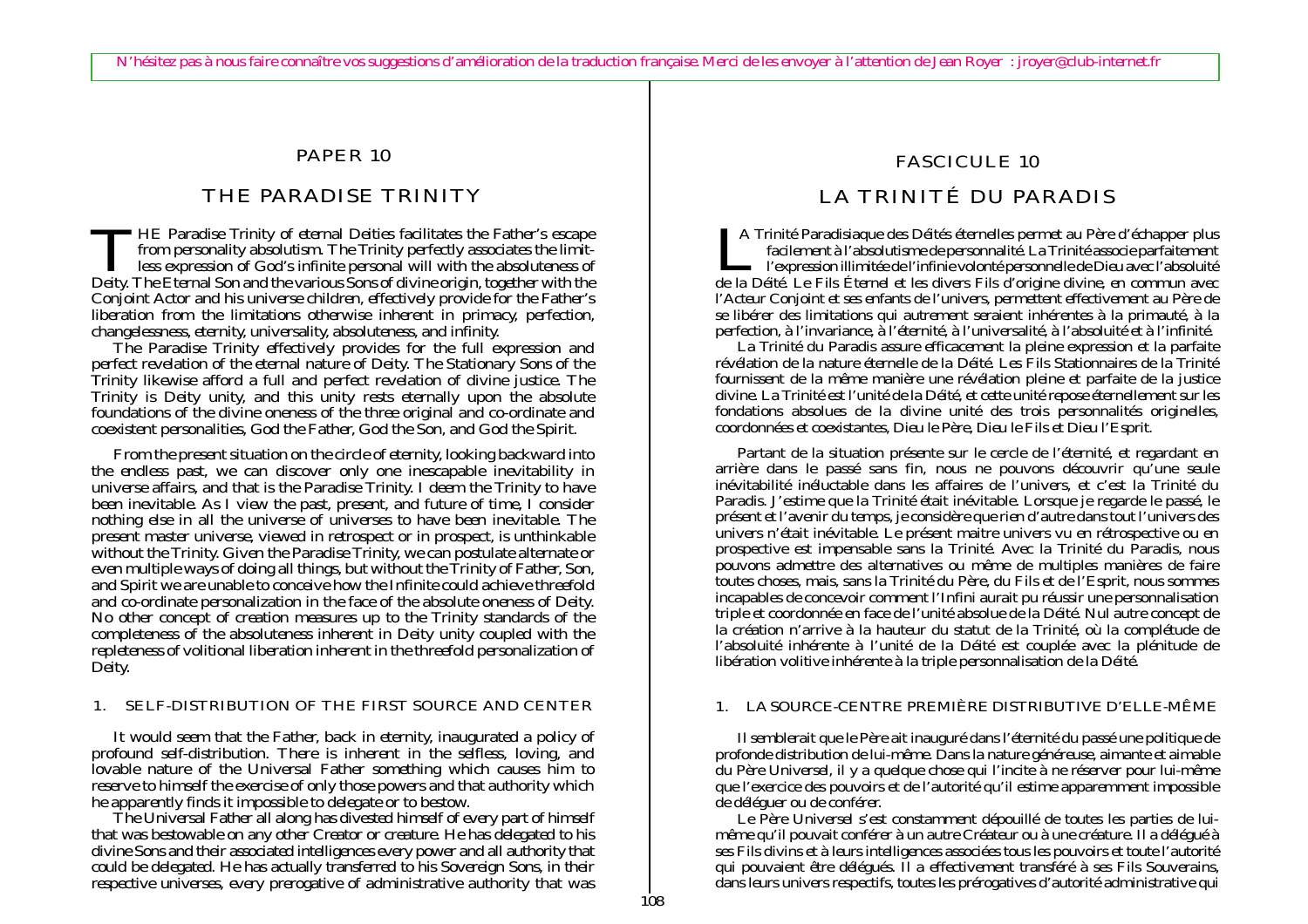# PAPER 10

# THE PARADISE TRINITY

THE Paradise Trinity of eternal Deities facilitates the Father's escape from personality absolutism. The Trinity perfectly associates the limit- less expression of God's infinite personal will with the absoluteness of Deity. The Eternal Son and the various Sons of divine origin, together with the Conjoint Actor and his universe children, effectively provide for the Father's liberation from the limitations otherwise inherent in primacy, perfection, changelessness, eternity, universality, absoluteness, and infinity.

The Paradise Trinity effectively provides for the full expression and perfect revelation of the eternal nature of Deity. The Stationary Sons of the Trinity likewise afford a full and perfect revelation of divine justice. The Trinity is Deity unity, and this unity rests eternally upon the absolute foundations of the divine oneness of the three original and co-ordinate and coexistent personalities, God the Father, God the Son, and God the Spirit.

From the present situation on the circle of eternity, looking backward into the endless past, we can discover only one inescapable inevitability in universe affairs, and that is the Paradise Trinity. I deem the Trinity to have been inevitable. As I view the past, present, and future of time, I consider nothing else in all the universe of universes to have been inevitable. The present master universe, viewed in retrospect or in prospect, is unthinkable without the Trinity. Given the Paradise Trinity, we can postulate alternate or even multiple ways of doing all things, but without the Trinity of Father, Son, and Spirit we are unable to conceive how the Infinite could achieve threefold and co-ordinate personalization in the face of the absolute oneness of Deity. No other concept of creation measures up to the Trinity standards of the completeness of the absoluteness inherent in Deity unity coupled with the repleteness of volitional liberation inherent in the threefold personalization of Deity.

#### 1. SELF-DISTRIBUTION OF THE FIRST SOURCE AND CENTER

It would seem that the Father, back in eternity, inaugurated a policy of profound self-distribution. There is inherent in the selfless, loving, and lovable nature of the Universal Father something which causes him to reserve to himself the exercise of only those powers and that authority which he apparently finds it impossible to delegate or to bestow.

The Universal Father all along has divested himself of every part of himself that was bestowable on any other Creator or creature. He has delegated to his divine Sons and their associated intelligences every power and all authority that could be delegated. He has actually transferred to his Sovereign Sons, in their respective universes, every prerogative of administrative authority that was

# FASCICULE 10 LA TRINITÉ DU PARADIS

A Trinité Paradisiaque des Déités éternelles permet au Père d'échapper plus L facilement à l'absolutisme de personnalité. La Trinité associe parfaitement de la Déité. Le Fils Éternel et les divers Fils d'origine divine, en commun avec l'Acteur Conjoint et ses enfants de l'univers, permettent effectivement au Père de se libérer des limitations qui autrement seraient inhérentes à la primauté, à la perfection, à l'invariance, à l'éternité, à l'universalité, à l'absoluité et à l'infinité.

La Trinité du Paradis assure efficacement la pleine expression et la parfaite révélation de la nature éternelle de la Déité. Les Fils Stationnaires de la Trinité fournissent de la même manière une révélation pleine et parfaite de la justice divine. La Trinité est l'unité de la Déité, et cette unité repose éternellement sur les fondations absolues de la divine unité des trois personnalités originelles, coordonnées et coexistantes, Dieu le Père, Dieu le Fils et Dieu l'Esprit.

Partant de la situation présente sur le cercle de l'éternité, et regardant en arrière dans le passé sans fin, nous ne pouvons découvrir qu'une seule inévitabilité inéluctable dans les affaires de l'univers, et c'est la Trinité du Paradis. J'estime que la Trinité était inévitable. Lorsque je regarde le passé, le présent et l'avenir du temps, je considère que rien d'autre dans tout l'univers des univers n'était inévitable. Le présent maitre univers vu en rétrospective ou en prospective est impensable sans la Trinité. Avec la Trinité du Paradis, nous pouvons admettre des alternatives ou même de multiples manières de faire toutes choses, mais, sans la Trinité du Père, du Fils et de l'Esprit, nous sommes incapables de concevoir comment l'Infini aurait pu réussir une personnalisation triple et coordonnée en face de l'unité absolue de la Déité. Nul autre concept de la création n'arrive à la hauteur du statut de la Trinité, où la complétude de l'absoluité inhérente à l'unité de la Déité est couplée avec la plénitude de libération volitive inhérente à la triple personnalisation de la Déité.

#### 1. LA SOURCE-CENTRE PREMIÈRE DISTRIBUTIVE D'ELLE-MÊME

Il semblerait que le Père ait inauguré dans l'éternité du passé une politique de profonde distribution de lui-même. Dans la nature généreuse, aimante et aimable du Père Universel, il y a quelque chose qui l'incite à ne réserver pour lui-même que l'exercice des pouvoirs et de l'autorité qu'il estime apparemment impossible de déléguer ou de conférer.

Le Père Universel s'est constamment dépouillé de toutes les parties de luimême qu'il pouvait conférer à un autre Créateur ou à une créature. Il a délégué à ses Fils divins et à leurs intelligences associées tous les pouvoirs et toute l'autorité qui pouvaient être délégués. Il a effectivement transféré à ses Fils Souverains, dans leurs univers respectifs, toutes les prérogatives d'autorité administrative qui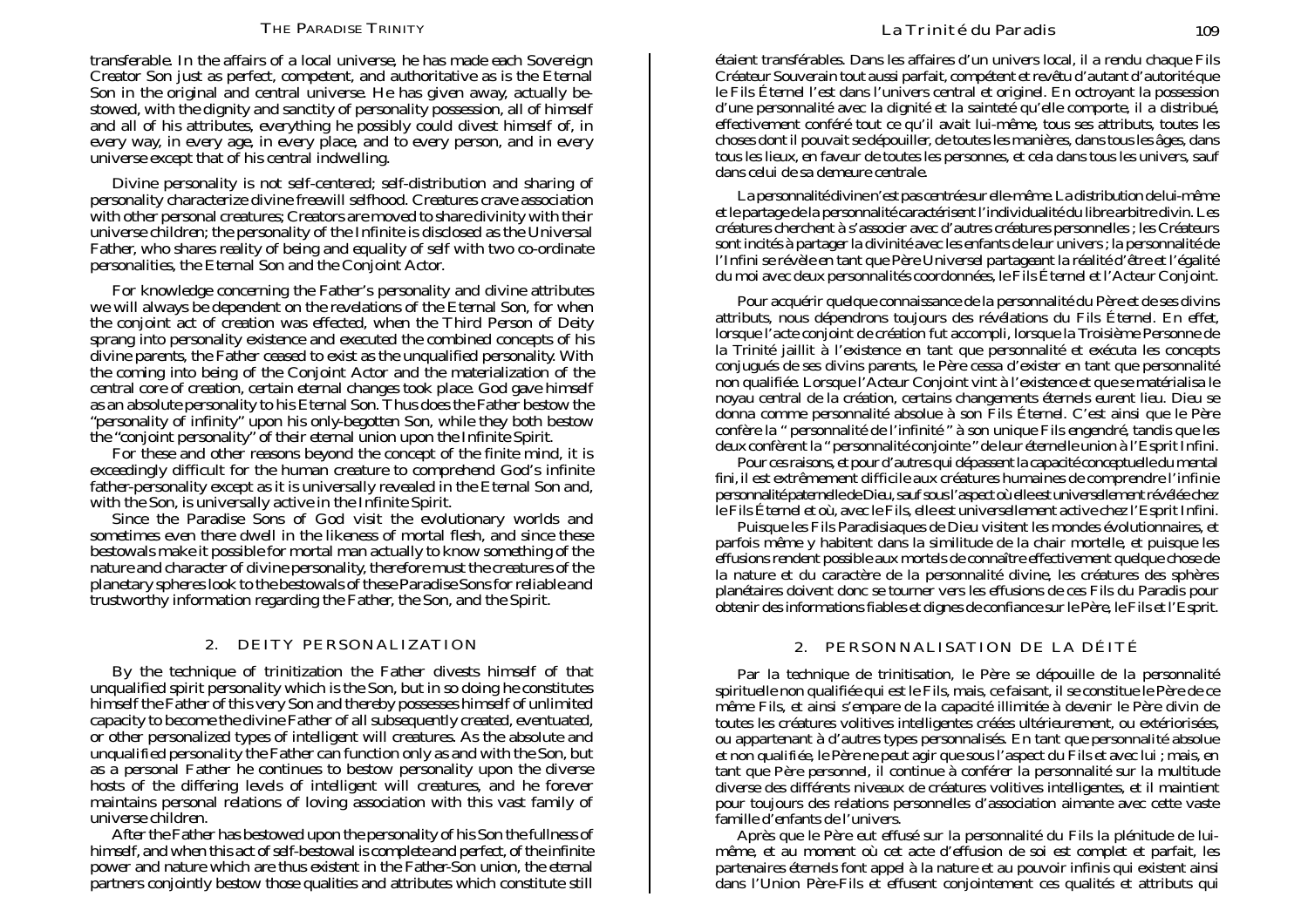transferable. In the affairs of a local universe, he has made each Sovereign Creator Son just as perfect, competent, and authoritative as is the Eternal Son in the original and central universe. He has given away, actually bestowed, with the dignity and sanctity of personality possession, all of himself and all of his attributes, everything he possibly could divest himself of, in every way, in every age, in every place, and to every person, and in every universe except that of his central indwelling.

Divine personality is not self-centered; self-distribution and sharing of personality characterize divine freewill selfhood. Creatures crave association with other personal creatures; Creators are moved to share divinity with their universe children; the personality of the Infinite is disclosed as the Universal Father, who shares reality of being and equality of self with two co-ordinate personalities, the Eternal Son and the Conjoint Actor.

For knowledge concerning the Father's personality and divine attributes we will always be dependent on the revelations of the Eternal Son, for when the conjoint act of creation was effected, when the Third Person of Deity sprang into personality existence and executed the combined concepts of his divine parents, the Father ceased to exist as the unqualified personality. With the coming into being of the Conjoint Actor and the materialization of the central core of creation, certain eternal changes took place. God gave himself as an absolute personality to his Eternal Son. Thus does the Father bestow the "personality of infinity" upon his only-begotten Son, while they both bestow the "conjoint personality" of their eternal union upon the Infinite Spirit.

For these and other reasons beyond the concept of the finite mind, it is exceedingly difficult for the human creature to comprehend God's infinite father-personality except as it is universally revealed in the Eternal Son and, with the Son, is universally active in the Infinite Spirit.

Since the Paradise Sons of God visit the evolutionary worlds and sometimes even there dwell in the likeness of mortal flesh, and since these bestowals make it possible for mortal man actually to know something of the nature and character of divine personality, therefore must the creatures of the planetary spheres look to the bestowals of these Paradise Sons for reliable and trustworthy information regarding the Father, the Son, and the Spirit.

#### 2. DEITY PERSONALIZATION

By the technique of trinitization the Father divests himself of that unqualified spirit personality which is the Son, but in so doing he constitutes himself the Father of this very Son and thereby possesses himself of unlimited capacity to become the divine Father of all subsequently created, eventuated, or other personalized types of intelligent will creatures. As the *absolute and unqualified personality* the Father can function only as and with the Son, but as a *personal Father* he continues to bestow personality upon the diverse hosts of the differing levels of intelligent will creatures, and he forever maintains personal relations of loving association with this vast family of universe children.

After the Father has bestowed upon the personality of his Son the fullness of himself, and when this act of self-bestowal is complete and perfect, of the infinite power and nature which are thus existent in the Father-Son union, the eternal partners conjointly bestow those qualities and attributes which constitute still étaient transférables. Dans les affaires d'un univers local, il a rendu chaque Fils Créateur Souverain tout aussi parfait, compétent et revêtu d'autant d'autorité que le Fils Éternel l'est dans l'univers central et originel. En octroyant la possession d'une personnalité avec la dignité et la sainteté qu'elle comporte, il a distribué, effectivement conféré tout ce qu'il avait lui-même, tous ses attributs, toutes les choses dont il pouvait se dépouiller, de toutes les manières, dans tous les âges, dans tous les lieux, en faveur de toutes les personnes, et cela dans tous les univers, sauf dans celui de sa demeure centrale.

La personnalité divine n'est pas centrée sur elle-même. La distribution de lui-même et le partage de la personnalité caractérisent l'individualité du libre arbitre divin. Les créatures cherchent à s'associer avec d'autres créatures personnelles ; les Créateurs sont incités à partager la divinité avec les enfants de leur univers ; la personnalité de l'Infini se révèle en tant que Père Universel partageant la réalité d'être et l'égalité du moi avec deux personnalités coordonnées, le Fils Éternel et l'Acteur Conjoint.

Pour acquérir quelque connaissance de la personnalité du Père et de ses divins attributs, nous dépendrons toujours des révélations du Fils Éternel. En effet, lorsque l'acte conjoint de création fut accompli, lorsque la Troisième Personne de la Trinité jaillit à l'existence en tant que personnalité et exécuta les concepts conjugués de ses divins parents, le Père cessa d'exister en tant que personnalité non qualifiée. Lorsque l'Acteur Conjoint vint à l'existence et que se matérialisa le donna comme personnalité absolue à son Fils Éternel. C'est ainsi que le Père confère la " personnalité de l'infinité " à son unique Fils engendré, tandis que les deux confèrent la " personnalité conjointe " de leur éternelle union à l'Esprit Infini.

Pour ces raisons, et pour d'autres qui dépassent la capacité conceptuelle du mental fini, il est extrêmement difficile aux créatures humaines de comprendre l'infinie personnalité paternelle de Dieu, sauf sous l'aspect où elle est universellement révélée chez le Fils Éternel et où, avec le Fils, elle est universellement active chez l'Esprit Infini.

Puisque les Fils Paradisiaques de Dieu visitent les mondes évolutionnaires, et parfois même y habitent dans la similitude de la chair mortelle, et puisque les effusions rendent possible aux mortels de connaître effectivement quelque chose de la nature et du caractère de la personnalité divine, les créatures des sphères planétaires doivent donc se tourner vers les effusions de ces Fils du Paradis pour obtenir des informations fiables et dignes de confiance sur le Père, le Fils et l'Esprit.

#### 2. PERSONNALISATION DE LA DÉITÉ

Par la technique de trinitisation, le Père se dépouille de la personnalité spirituelle non qualifiée qui est le Fils, mais, ce faisant, il se constitue le Père de ce même Fils, et ainsi s'empare de la capacité illimitée à devenir le Père divin de toutes les créatures volitives intelligentes créées ultérieurement, ou extériorisées, ou appartenant à d'autres types personnalisés. En tant que *personnalité absolue et non qualifiée*, le Père ne peut agir que sous l'aspect du Fils et avec lui ; mais, en tant que *Père personnel*, il continue à conférer la personnalité sur la multitude diverse des différents niveaux de créatures volitives intelligentes, et il maintient pour toujours des relations personnelles d'association aimante avec cette vaste famille d'enfants de l'univers.

Après que le Père eut effusé sur la personnalité du Fils la plénitude de luimême, et au moment où cet acte d'effusion de soi est complet et parfait, les partenaires éternels font appel à la nature et au pouvoir infinis qui existent ainsi dans l'Union Père-Fils et effusent conjointement ces qualités et attributs qui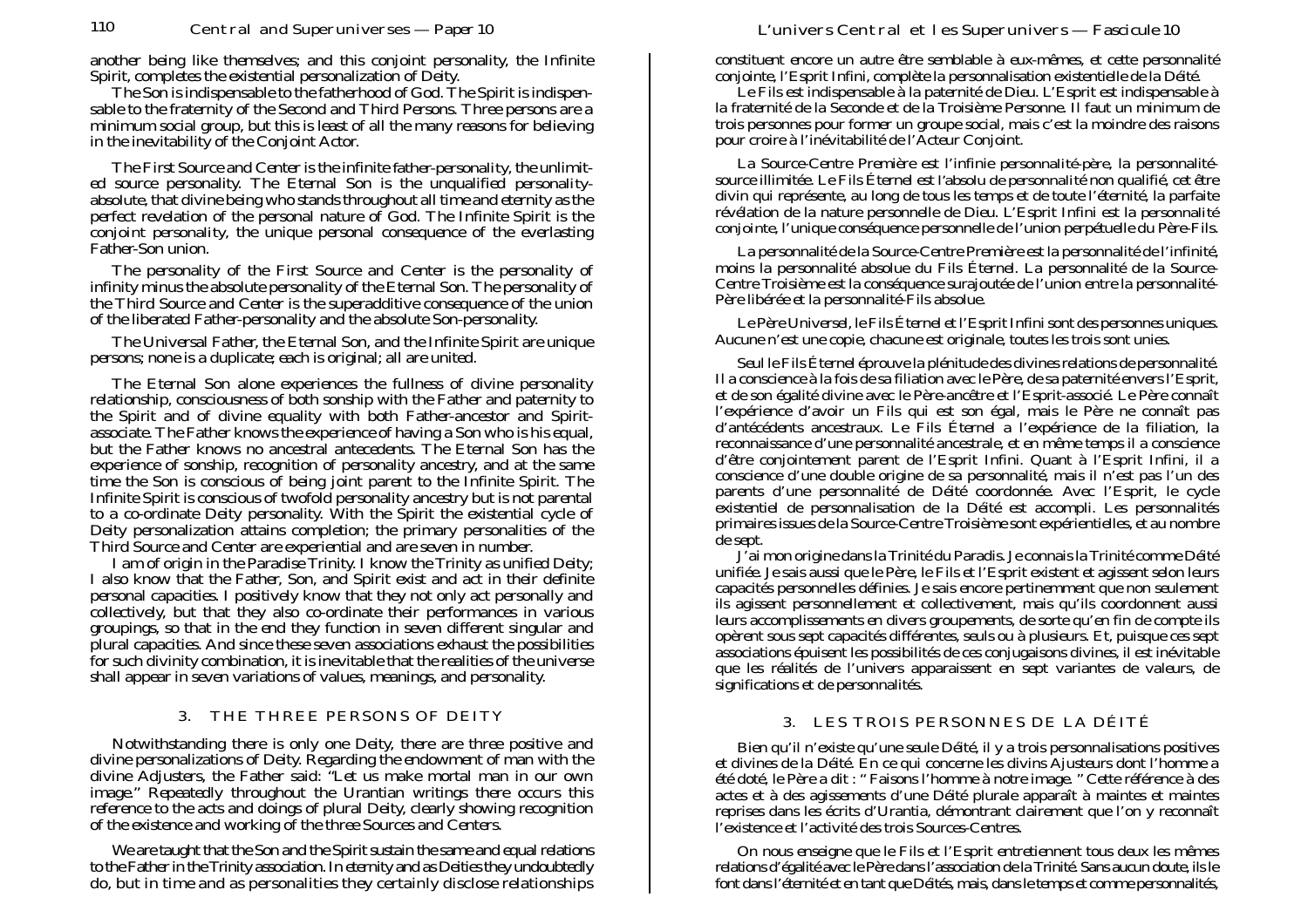another being like themselves; and this conjoint personality, the Infinite Spirit, completes the existential personalization of Deity.

The Son is indispensable to the fatherhood of God. The Spirit is indispensable to the fraternity of the Second and Third Persons. Three persons are a minimum social group, but this is least of all the many reasons for believing in the inevitability of the Conjoint Actor.

The First Source and Center is the infinite *father-personality,* the unlimited source personality. The Eternal Son is the unqualified *personalityabsolute,* that divine being who stands throughout all time and eternity as the perfect revelation of the personal nature of God. The Infinite Spirit is the *conjoint personality,* the unique personal consequence of the everlasting Father-Son union.

The personality of the First Source and Center is the personality of infinity minus the absolute personality of the Eternal Son. The personality of the Third Source and Center is the superadditive consequence of the union of the liberated Father-personality and the absolute Son-personality.

The Universal Father, the Eternal Son, and the Infinite Spirit are unique persons; none is a duplicate; each is original; all are united.

The Eternal Son alone experiences the fullness of divine personality relationship, consciousness of both sonship with the Father and paternity to the Spirit and of divine equality with both Father-ancestor and Spiritassociate. The Father knows the experience of having a Son who is his equal, but the Father knows no ancestral antecedents. The Eternal Son has the experience of sonship, recognition of personality ancestry, and at the same time the Son is conscious of being joint parent to the Infinite Spirit. The Infinite Spirit is conscious of twofold personality ancestry but is not parental to a co-ordinate Deity personality. With the Spirit the existential cycle of Deity personalization attains completion; the primary personalities of the Third Source and Center are experiential and are seven in number.

I am of origin in the Paradise Trinity. I know the Trinity as unified Deity; I also know that the Father, Son, and Spirit exist and act in their definite personal capacities. I positively know that they not only act personally and collectively, but that they also co-ordinate their performances in various groupings, so that in the end they function in seven different singular and plural capacities. And since these seven associations exhaust the possibilities for such divinity combination, it is inevitable that the realities of the universe shall appear in seven variations of values, meanings, and personality.

### 3. THE THREE PERSONS OF DEITY

Notwithstanding there is only one Deity, there are three positive and divine personalizations of Deity. Regarding the endowment of man with the divine Adjusters, the Father said: "Let us make mortal man in our own image." Repeatedly throughout the Urantian writings there occurs this reference to the acts and doings of plural Deity, clearly showing recognition of the existence and working of the three Sources and Centers.

We are taught that the Son and the Spirit sustain the same and equal relations to the Father in the Trinity association. In eternity and as Deities they undoubtedly do, but in time and as personalities they certainly disclose relationships

# <sup>110</sup> Central and Superuniverses — *Paper <sup>10</sup>* L'univers Central et les Superunivers — *Fascicule <sup>10</sup>*

constituent encore un autre être semblable à eux-mêmes, et cette personnalité conjointe, l'Esprit Infini, complète la personnalisation existentielle de la Déité.

Le Fils est indispensable à la paternité de Dieu. L'Esprit est indispensable à la fraternité de la Seconde et de la Troisième Personne. Il faut un minimum de trois personnes pour former un groupe social, mais c'est la moindre des raisons pour croire à l'inévitabilité de l'Acteur Conjoint.

La Source-Centre Première est l'infinie *personnalité-père*, la personnalité- source illimitée. Le Fils Éternel est *l'absolu de personnalit*é non qualifié, cet être divin qui représente, au long de tous les temps et de toute l'éternité, la parfaite révélation de la nature personnelle de Dieu. L'Esprit Infini est la *personnalité conjointe*, l'unique conséquence personnelle de l'union perpétuelle du Père-Fils.

La personnalité de la Source-Centre Première est la personnalité de l'infinité, moins la personnalité absolue du Fils Éternel. La personnalité de la Source-Centre Troisième est la conséquence surajoutée de l'union entre la personnalité-Père libérée et la personnalité-Fils absolue.

Le Père Universel, le Fils Éternel et l'Esprit Infini sont des personnes uniques. Aucune n'est une copie, chacune est originale, toutes les trois sont unies.

Seul le Fils Éternel éprouve la plénitude des divines relations de personnalité. Il a conscience à la fois de sa filiation avec le Père, de sa paternité envers l'Esprit, et de son égalité divine avec le Père-ancêtre et l'Esprit-associé. Le Père connaît l'expérience d'avoir un Fils qui est son égal, mais le Père ne connaît pas d'antécédents ancestraux. Le Fils Éternel a l'expérience de la filiation, la reconnaissance d'une personnalité ancestrale, et en même temps il a conscience d'être conjointement parent de l'Esprit Infini. Quant à l'Esprit Infini, il a conscience d'une double origine de sa personnalité, mais il n'est pas l'un des parents d'une personnalité de Déité coordonnée. Avec l'Esprit, le cycle existentiel de personnalisation de la Déité est accompli. Les personnalités primaires issues de la Source-Centre Troisième sont expérientielles, et au nombre de sept.

J'ai mon origine dans la Trinité du Paradis. Je connais la Trinité comme Déité unifiée. Je sais aussi que le Père, le Fils et l'Esprit existent et agissent selon leurs capacités personnelles définies. Je sais encore pertinemment que non seulement ils agissent personnellement et collectivement, mais qu'ils coordonnent aussi leurs accomplissements en divers groupements, de sorte qu'en fin de compte ils opèrent sous sept capacités différentes, seuls ou à plusieurs. Et, puisque ces sept associations épuisent les possibilités de ces conjugaisons divines, il est inévitable que les réalités de l'univers apparaissent en sept variantes de valeurs, de significations et de personnalités.

# 3. LES TROIS PERSONNES DE LA DÉITÉ

Bien qu'il n'existe qu'une seule Déité, il y a trois personnalisations positives et divines de la Déité. En ce qui concerne les divins Ajusteurs dont l'homme a été doté, le Père a dit : " Faisons l'homme à notre image. " Cette référence à des actes et à des agissements d'une Déité plurale apparaît à maintes et maintes reprises dans les écrits d'Urantia, démontrant clairement que l'on y reconnaît l'existence et l'activité des trois Sources-Centres.

On nous enseigne que le Fils et l'Esprit entretiennent tous deux les mêmes relations d'égalité avec le Père dans l'association de la Trinité. Sans aucun doute, ils le font dans l'éternité et en tant que Déités, mais, dans le temps et comme personnalités,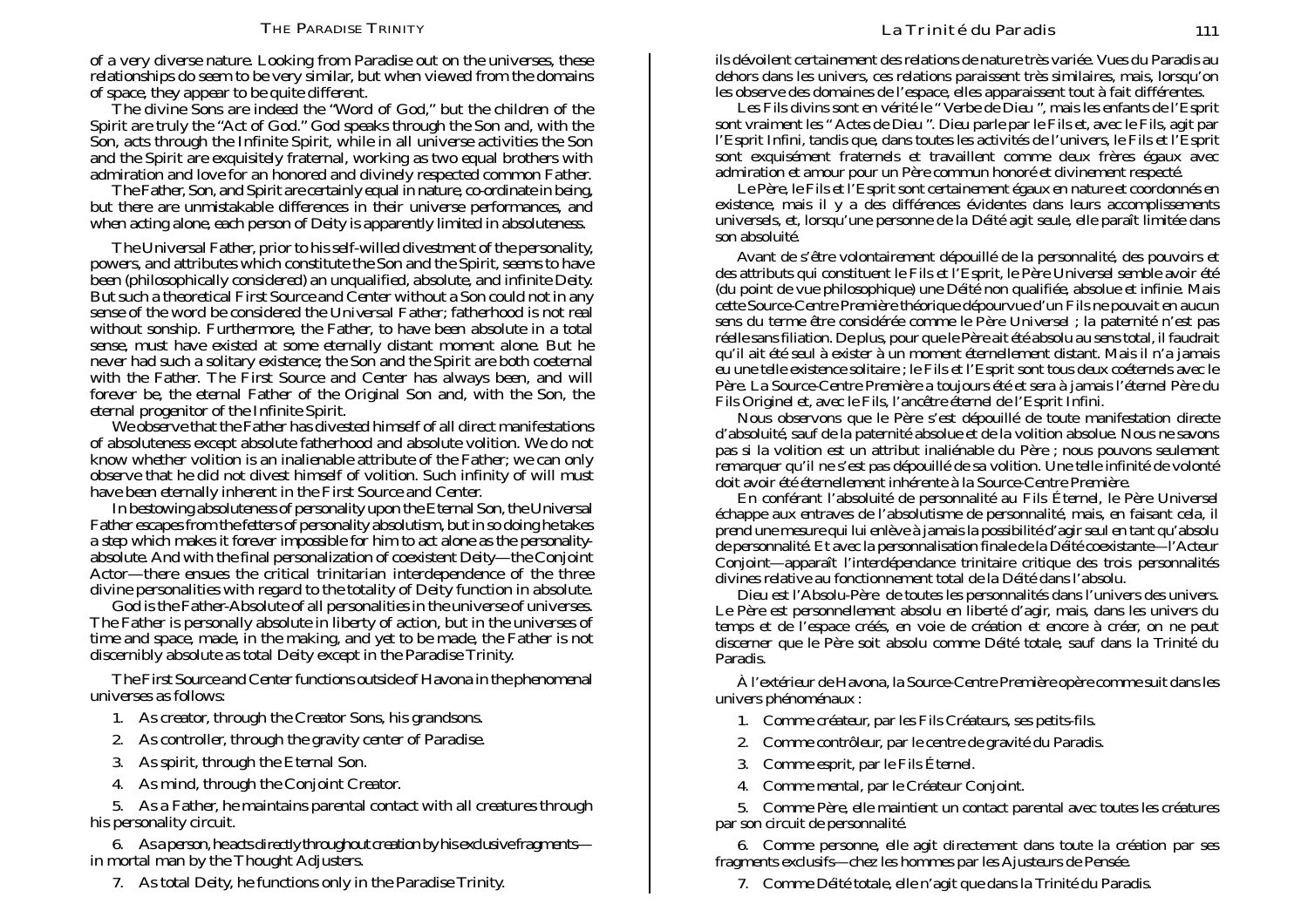of a very diverse nature. Looking from Paradise out on the universes, these relationships do seem to be very similar, but when viewed from the domains of space, they appear to be quite different.

The divine Sons are indeed the "Word of God," but the children of the Spirit are truly the "Act of God." God speaks through the Son and, with the Son, acts through the Infinite Spirit, while in all universe activities the Son and the Spirit are exquisitely fraternal, working as two equal brothers with admiration and love for an honored and divinely respected common Father.

The Father, Son, and Spirit are certainly equal in nature, co-ordinate in being, but there are unmistakable differences in their universe performances, and when acting alone, each person of Deity is apparently limited in absoluteness.

The Universal Father, prior to his self-willed divestment of the personality, powers, and attributes which constitute the Son and the Spirit, seems to have been (philosophically considered) an unqualified, absolute, and infinite Deity. But such a theoretical First Source and Center without a Son could not in any sense of the word be considered the *Universal Father;* fatherhood is not real without sonship. Furthermore, the Father, to have been absolute in a total sense, must have existed at some eternally distant moment alone. But he never had such a solitary existence; the Son and the Spirit are both coeternal with the Father. The First Source and Center has always been, and will forever be, the eternal Father of the Original Son and, with the Son, the eternal progenitor of the Infinite Spirit.

We observe that the Father has divested himself of all direct manifestations of absoluteness except absolute fatherhood and absolute volition. We do not know whether volition is an inalienable attribute of the Father; we can only observe that he did *not* divest himself of volition. Such infinity of will must have been eternally inherent in the First Source and Center.

In bestowing absoluteness of personality upon the Eternal Son, the Universal Father escapes from the fetters of personality absolutism, but in so doing he takes a step which makes it forever impossible for him to act alone as the personalityabsolute. And with the final personalization of coexistent Deity—the Conjoint Actor—there ensues the critical trinitarian interdependence of the three divine personalities with regard to the totality of Deity function in absolute.

God is the Father-Absolute of all personalities in the universe of universes. The Father is personally absolute in liberty of action, but in the universes of time and space, made, in the making, and yet to be made, the Father is not discernibly absolute as total Deity except in the Paradise Trinity.

The First Source and Center functions outside of Havona in the phenomenal universes as follows:

- 1. As creator, through the Creator Sons, his grandsons.
- 2. As controller, through the gravity center of Paradise.
- 3. As spirit, through the Eternal Son.
- 4. As mind, through the Conjoint Creator.

5. As a Father, he maintains parental contact with all creatures through his personality circuit.

6. As a person, he acts *directly*throughout creation by his exclusive fragments in mortal man by the Thought Adjusters.

7. As total Deity, he functions only in the Paradise Trinity.

### La Trinité du Paradis 111

ils dévoilent certainement des relations de nature très variée. Vues du Paradis au dehors dans les univers, ces relations paraissent très similaires, mais, lorsqu'on les observe des domaines de l'espace, elles apparaissent tout à fait différentes.

Les Fils divins sont en vérité le " Verbe de Dieu ", mais les enfants de l'Esprit sont vraiment les " Actes de Dieu ". Dieu parle par le Fils et, avec le Fils, agit par l'Esprit Infini, tandis que, dans toutes les activités de l'univers, le Fils et l'Esprit sont exquisément fraternels et travaillent comme deux frères égaux avec admiration et amour pour un Père commun honoré et divinement respecté.

Le Père, le Fils et l'Esprit sont certainement égaux en nature et coordonnés en existence, mais il y a des différences évidentes dans leurs accomplissements universels, et, lorsqu'une personne de la Déité agit seule, elle paraît limitée dans son absoluité.

Avant de s'être volontairement dépouillé de la personnalité, des pouvoirs et des attributs qui constituent le Fils et l'Esprit, le Père Universel semble avoir été (du point de vue philosophique) une Déité non qualifiée, absolue et infinie. Mais cette Source-Centre Première théorique dépourvue d'un Fils ne pouvait en aucun sens du terme être considérée comme le *Père Universel* ; la paternité n'est pas réelle sans filiation. De plus, pour que le Père ait été absolu au sens total, il faudrait qu'il ait été seul à exister à un moment éternellement distant. Mais il n'a jamais eu une telle existence solitaire ; le Fils et l'Esprit sont tous deux coéternels avec le Père. La Source-Centre Première a toujours été et sera à jamais l'éternel Père du Fils Originel et, avec le Fils, l'ancêtre éternel de l'Esprit Infini.

Nous observons que le Père s'est dépouillé de toute manifestation directe d'absoluité, sauf de la paternité absolue et de la volition absolue. Nous ne savons pas si la volition est un attribut inaliénable du Père ; nous pouvons seulement remarquer qu'il ne s'est *pas* dépouillé de sa volition. Une telle infinité de volonté doit avoir été éternellement inhérente à la Source-Centre Première.

En conférant l'absoluité de personnalité au Fils Éternel, le Père Universel échappe aux entraves de l'absolutisme de personnalité, mais, en faisant cela, il prend une mesure qui lui enlève à jamais la possibilité d'agir seul en tant qu'absolu de personnalité. Et avec la personnalisation finale de la Déité coexistante—l'Acteur Conjoint—apparaît l'interdépendance trinitaire critique des trois personnalités divines relative au fonctionnement total de la Déité dans l'absolu.

Dieu est l'Absolu-Père de toutes les personnalités dans l'univers des univers. Le Père est personnellement absolu en liberté d'agir, mais, dans les univers du temps et de l'espace créés, en voie de création et encore à créer, on ne peut discerner que le Père soit absolu comme Déité totale, sauf dans la Trinité du Paradis.

À l'extérieur de Havona, la Source-Centre Première opère comme suit dans les univers phénoménaux :

1. Comme créateur, par les Fils Créateurs, ses petits-fils.

2. Comme contrôleur, par le centre de gravité du Paradis.

3. Comme esprit, par le Fils Éternel.

4. Comme mental, par le Créateur Conjoint.

5. Comme Père, elle maintient un contact parental avec toutes les créatures par son circuit de personnalité.

6. Comme personne, elle agit *directement* dans toute la création par ses fragments exclusifs—chez les hommes par les Ajusteurs de Pensée.

7. Comme Déité totale, elle n'agit que dans la Trinité du Paradis.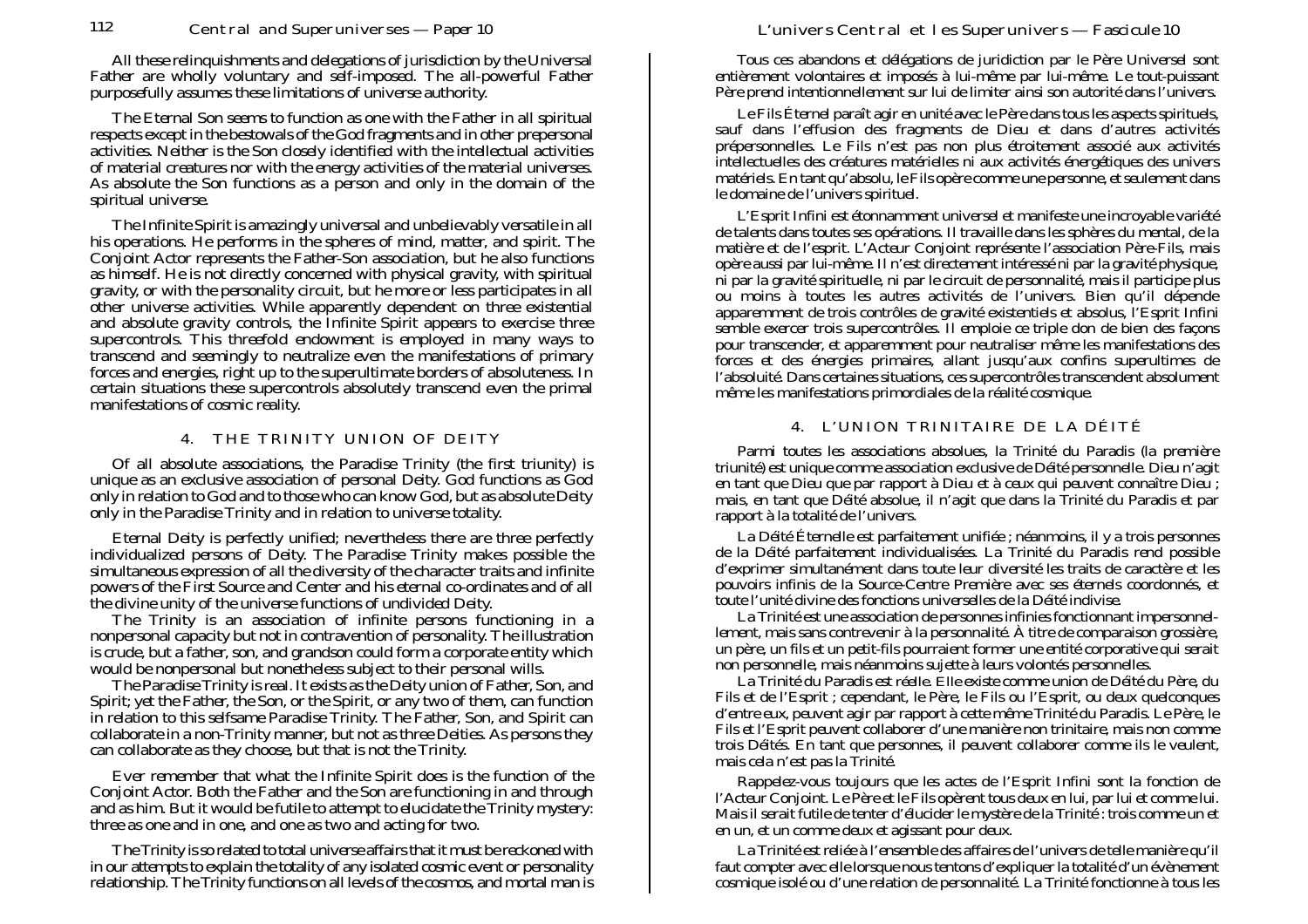All these relinquishments and delegations of jurisdiction by the Universal Father are wholly voluntary and self-imposed. The all-powerful Father purposefully assumes these limitations of universe authority.

The Eternal Son seems to function as one with the Father in all spiritual respects except in the bestowals of the God fragments and in other prepersonal activities. Neither is the Son closely identified with the intellectual activities of material creatures nor with the energy activities of the material universes. As absolute the Son functions as a person and only in the domain of the spiritual universe.

The Infinite Spirit is amazingly universal and unbelievably versatile in all his operations. He performs in the spheres of mind, matter, and spirit. The Conjoint Actor represents the Father-Son association, but he also functions as himself. He is not directly concerned with physical gravity, with spiritual gravity, or with the personality circuit, but he more or less participates in all other universe activities. While apparently dependent on three existential and absolute gravity controls, the Infinite Spirit appears to exercise three supercontrols. This threefold endowment is employed in many ways to transcend and seemingly to neutralize even the manifestations of primary forces and energies, right up to the superultimate borders of absoluteness. In certain situations these supercontrols absolutely transcend even the primal manifestations of cosmic reality.

#### 4. THE TRINITY UNION OF DEITY

Of all absolute associations, the Paradise Trinity (the first triunity) is unique as an exclusive association of personal Deity. God functions as God only in relation to God and to those who can know God, but as absolute Deity only in the Paradise Trinity and in relation to universe totality.

Eternal Deity is perfectly unified; nevertheless there are three perfectly individualized persons of Deity. The Paradise Trinity makes possible the simultaneous expression of all the diversity of the character traits and infinite powers of the First Source and Center and his eternal co-ordinates and of all the divine unity of the universe functions of undivided Deity.

The Trinity is an association of infinite persons functioning in a nonpersonal capacity but not in contravention of personality. The illustration is crude, but a father, son, and grandson could form a corporate entity which would be nonpersonal but nonetheless subject to their personal wills.

The Paradise Trinity is *real.*It exists as the Deity union of Father, Son, and Spirit; yet the Father, the Son, or the Spirit, or any two of them, can function in relation to this selfsame Paradise Trinity. The Father, Son, and Spirit can collaborate in a non-Trinity manner, but not as three Deities. As persons they can collaborate as they choose, but that is not the Trinity.

Ever remember that what the Infinite Spirit does is the function of the Conjoint Actor. Both the Father and the Son are functioning in and through and as him. But it would be futile to attempt to elucidate the Trinity mystery: three as one and in one, and one as two and acting for two.

The Trinity is so related to total universe affairs that it must be reckoned with in our attempts to explain the totality of any isolated cosmic event or personality relationship. The Trinity functions on all levels of the cosmos, and mortal man is

# <sup>112</sup> Central and Superuniverses — *Paper <sup>10</sup>* L'univers Central et les Superunivers — *Fascicule <sup>10</sup>*

Tous ces abandons et délégations de juridiction par le Père Universel sont entièrement volontaires et imposés à lui-même par lui-même. Le tout-puissant Père prend intentionnellement sur lui de limiter ainsi son autorité dans l'univers.

Le Fils Éternel paraît agir en unité avec le Père dans tous les aspects spirituels, sauf dans l'effusion des fragments de Dieu et dans d'autres activités prépersonnelles. Le Fils n'est pas non plus étroitement associé aux activités intellectuelles des créatures matérielles ni aux activités énergétiques des univers matériels. En tant qu'absolu, le Fils opère comme une personne, et seulement dans le domaine de l'univers spirituel.

L'Esprit Infini est étonnamment universel et manifeste une incroyable variété de talents dans toutes ses opérations. Il travaille dans les sphères du mental, de la matière et de l'esprit. L'Acteur Conjoint représente l'association Père-Fils, mais opère aussi par lui-même. Il n'est directement intéressé ni par la gravité physique, ni par la gravité spirituelle, ni par le circuit de personnalité, mais il participe plus ou moins à toutes les autres activités de l'univers. Bien qu'il dépende apparemment de trois contrôles de gravité existentiels et absolus, l'Esprit Infini semble exercer trois supercontrôles. Il emploie ce triple don de bien des façons pour transcender, et apparemment pour neutraliser même les manifestations des forces et des énergies primaires, allant jusqu'aux confins superultimes de l'absoluité. Dans certaines situations, ces supercontrôles transcendent absolument même les manifestations primordiales de la réalité cosmique.

# 4. L'UNION TRINITAIRE DE LA DÉITÉ

Parmi toutes les associations absolues, la Trinité du Paradis (la première triunité) est unique comme association exclusive de Déité personnelle. Dieu n'agit en tant que Dieu que par rapport à Dieu et à ceux qui peuvent connaître Dieu ; mais, en tant que Déité absolue, il n'agit que dans la Trinité du Paradis et par rapport à la totalité de l'univers.

La Déité Éternelle est parfaitement unifiée ; néanmoins, il y a trois personnes de la Déité parfaitement individualisées. La Trinité du Paradis rend possible d'exprimer simultanément dans toute leur diversité les traits de caractère et les pouvoirs infinis de la Source-Centre Première avec ses éternels coordonnés, et toute l'unité divine des fonctions universelles de la Déité indivise.

La Trinité est une association de personnes infinies fonctionnant impersonnel- lement, mais sans contrevenir à la personnalité. À titre de comparaison grossière, un père, un fils et un petit-fils pourraient former une entité corporative qui serait non personnelle, mais néanmoins sujette à leurs volontés personnelles.

La Trinité du Paradis est *réelle. Elle* existe comme union de Déité du Père, du Fils et de l'Esprit ; cependant, le Père, le Fils ou l'Esprit, ou deux quelconques d'entre eux, peuvent agir par rapport à cette même Trinité du Paradis. Le Père, le Fils et l'Esprit peuvent collaborer d'une manière non trinitaire, mais non comme trois Déités. En tant que personnes, il peuvent collaborer comme ils le veulent, mais cela n'est pas la Trinité.

Rappelez-vous toujours que les actes de l'Esprit Infini sont la fonction de l'Acteur Conjoint. Le Père et le Fils opèrent tous deux en lui, par lui et comme lui. Mais il serait futile de tenter d'élucider le mystère de la Trinité : trois comme un et en un, et un comme deux et agissant pour deux.

La Trinité est reliée à l'ensemble des affaires de l'univers de telle manière qu'il faut compter avec elle lorsque nous tentons d'expliquer la totalité d'un évènement cosmique isolé ou d'une relation de personnalité. La Trinité fonctionne à tous les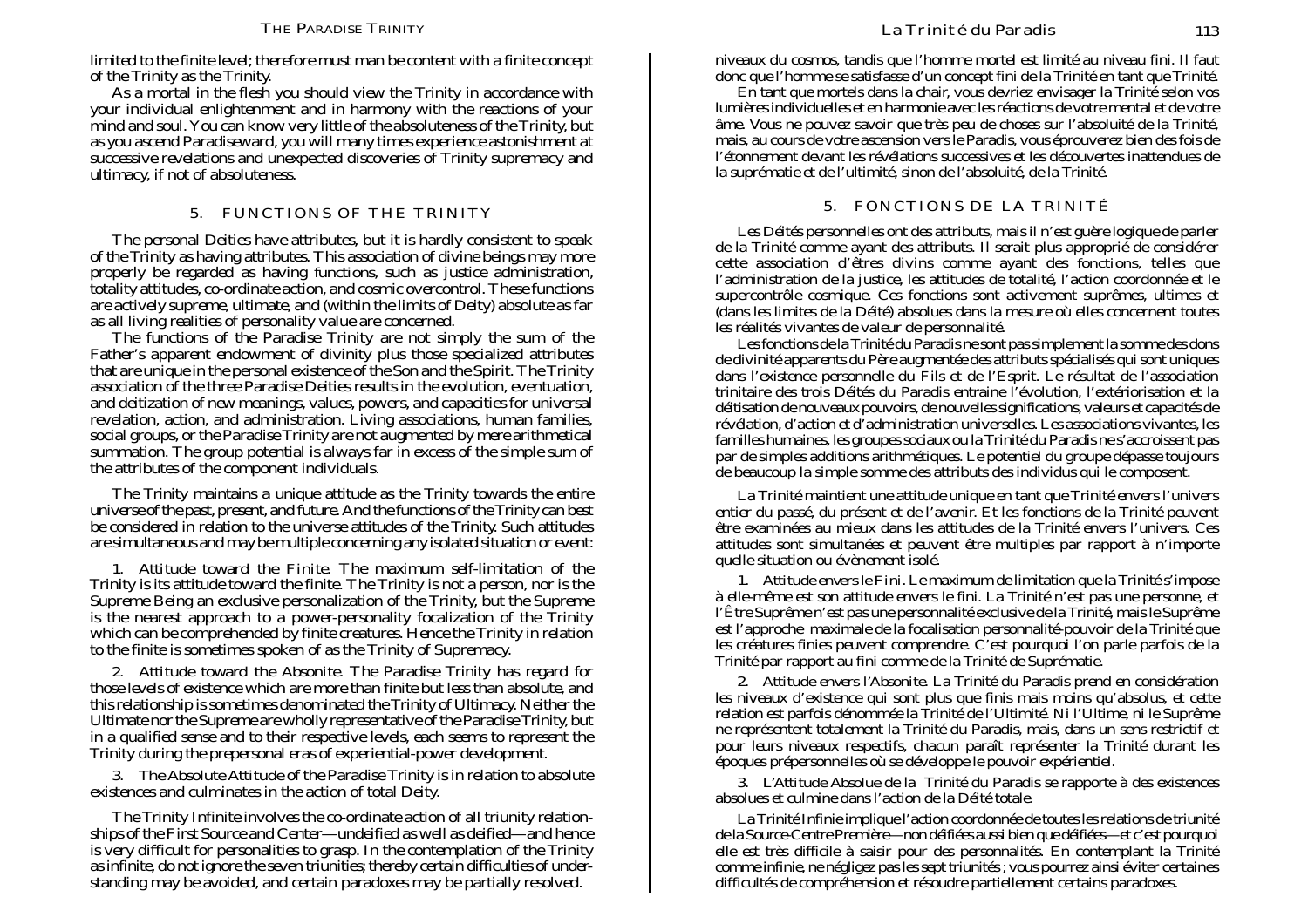limited to the finite level; therefore must man be content with a finite concept of the Trinity as the Trinity.

As a mortal in the flesh you should view the Trinity in accordance with your individual enlightenment and in harmony with the reactions of your mind and soul. You can know very little of the absoluteness of the Trinity, but as you ascend Paradiseward, you will many times experience astonishment at successive revelations and unexpected discoveries of Trinity supremacy and ultimacy, if not of absoluteness.

#### 5. FUNCTIONS OF THE TRINITY

The personal Deities have attributes, but it is hardly consistent to speak of the Trinity as having attributes. This association of divine beings may more properly be regarded as having *functions,* such as justice administration, totality attitudes, co-ordinate action, and cosmic overcontrol. These functions are actively supreme, ultimate, and (within the limits of Deity) absolute as far as all living realities of personality value are concerned.

The functions of the Paradise Trinity are not simply the sum of the Father's apparent endowment of divinity plus those specialized attributes that are unique in the personal existence of the Son and the Spirit. The Trinity association of the three Paradise Deities results in the evolution, eventuation, and deitization of new meanings, values, powers, and capacities for universal revelation, action, and administration. Living associations, human families, social groups, or the Paradise Trinity are not augmented by mere arithmetical summation. The group potential is always far in excess of the simple sum of the attributes of the component individuals.

The Trinity maintains a unique attitude as the Trinity towards the entire universe of the past, present, and future. And the functions of the Trinity can best be considered in relation to the universe attitudes of the Trinity. Such attitudes are simultaneous and may be multiple concerning any isolated situation or event:

1. *Attitude toward the Finite.* The maximum self-limitation of the Trinity is its attitude toward the finite. The Trinity is not a person, nor is the Supreme Being an exclusive personalization of the Trinity, but the Supreme is the nearest approach to a power-personality focalization of the Trinity which can be comprehended by finite creatures. Hence the Trinity in relation to the finite is sometimes spoken of as the Trinity of Supremacy.

2. *Attitude toward the Absonite.* The Paradise Trinity has regard for those levels of existence which are more than finite but less than absolute, and this relationship is sometimes denominated the Trinity of Ultimacy. Neither the Ultimate nor the Supreme are wholly representative of the Paradise Trinity, but in a qualified sense and to their respective levels, each seems to represent the Trinity during the prepersonal eras of experiential-power development.

3. *The Absolute Attitude* of the Paradise Trinity is in relation to absolute existences and culminates in the action of total Deity.

The Trinity Infinite involves the co-ordinate action of all triunity relationships of the First Source and Center—undeified as well as deified—and hence is very difficult for personalities to grasp. In the contemplation of the Trinity as infinite, do not ignore the seven triunities; thereby certain difficulties of understanding may be avoided, and certain paradoxes may be partially resolved.

niveaux du cosmos, tandis que l'homme mortel est limité au niveau fini. Il faut donc que l'homme se satisfasse d'un concept fini de la Trinité en tant que Trinité.

En tant que mortels dans la chair, vous devriez envisager la Trinité selon vos lumières individuelles et en harmonie avec les réactions de votre mental et de votre âme. Vous ne pouvez savoir que très peu de choses sur l'absoluité de la Trinité, mais, au cours de votre ascension vers le Paradis, vous éprouverez bien des fois de l'étonnement devant les révélations successives et les découvertes inattendues de la suprématie et de l'ultimité, sinon de l'absoluité, de la Trinité.

#### 5. FONCTIONS DE LA TRINITÉ

Les Déités personnelles ont des attributs, mais il n'est guère logique de parler de la Trinité comme ayant des attributs. Il serait plus approprié de considérer cette association d'êtres divins comme ayant des *fonctions,* telles que l'administration de la justice, les attitudes de totalité, l'action coordonnée et le supercontrôle cosmique. Ces fonctions sont activement suprêmes, ultimes et (dans les limites de la Déité) absolues dans la mesure où elles concernent toutes les réalités vivantes de valeur de personnalité.

Les fonctions de la Trinité du Paradis ne sont pas simplement la somme des dons de divinité apparents du Père augmentée des attributs spécialisés qui sont uniques dans l'existence personnelle du Fils et de l'Esprit. Le résultat de l'association trinitaire des trois Déités du Paradis entraine l'évolution, l'extériorisation et la déitisation de nouveaux pouvoirs, de nouvelles significations, valeurs et capacités de révélation, d'action et d'administration universelles. Les associations vivantes, les familles humaines, les groupes sociaux ou la Trinité du Paradis ne s'accroissent pas par de simples additions arithmétiques. Le potentiel du groupe dépasse toujours de beaucoup la simple somme des attributs des individus qui le composent.

La Trinité maintient une attitude unique en tant que Trinité envers l'univers entier du passé, du présent et de l'avenir. Et les fonctions de la Trinité peuvent être examinées au mieux dans les attitudes de la Trinité envers l'univers. Ces attitudes sont simultanées et peuvent être multiples par rapport à n'importe quelle situation ou évènement isolé.

1. *Attitude envers le Fini*. Le maximum de limitation que la Trinité s'impose à elle-même est son attitude envers le fini. La Trinité n'est pas une personne, et l'Être Suprême n'est pas une personnalité exclusive de la Trinité, mais le Suprême est l'approche maximale de la focalisation personnalité-pouvoir de la Trinité que les créatures finies peuvent comprendre. C'est pourquoi l'on parle parfois de la Trinité par rapport au fini comme de la Trinité de Suprématie.

2. *Attitude envers l'Absonite*. La Trinité du Paradis prend en considération les niveaux d'existence qui sont plus que finis mais moins qu'absolus, et cette relation est parfois dénommée la Trinité de l'Ultimité. Ni l'Ultime, ni le Suprême ne représentent totalement la Trinité du Paradis, mais, dans un sens restrictif et pour leurs niveaux respectifs, chacun paraît représenter la Trinité durant les époques prépersonnelles où se développe le pouvoir expérientiel.

3. *L'Attitude Absolue* de la Trinité du Paradis se rapporte à des existences absolues et culmine dans l'action de la Déité totale.

La Trinité Infinie implique l'action coordonnée de toutes les relations de triunité de la Source-Centre Première—non déifiées aussi bien que déifiées—et c'est pourquoi elle est très difficile à saisir pour des personnalités. En contemplant la Trinité comme infinie, ne négligez pas les sept triunités ; vous pourrez ainsi éviter certaines difficultés de compréhension et résoudre partiellement certains paradoxes.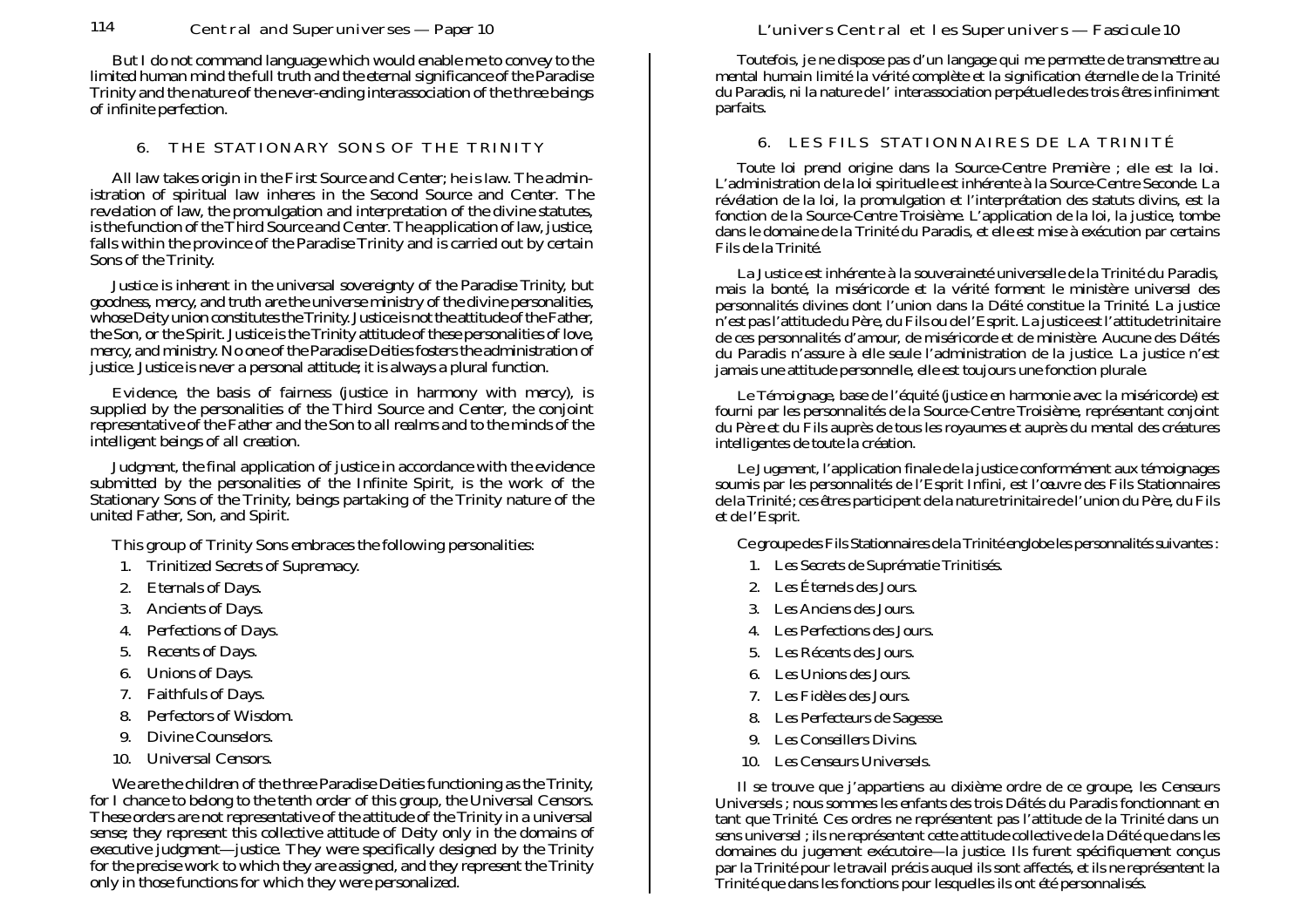But I do not command language which would enable me to convey to the limited human mind the full truth and the eternal significance of the Paradise Trinity and the nature of the never-ending interassociation of the three beings of infinite perfection.

#### 6. THE STATIONARY SONS OF THE TRINITY

All law takes origin in the First Source and Center; *he is law.* The administration of spiritual law inheres in the Second Source and Center. The revelation of law, the promulgation and interpretation of the divine statutes, is the function of the Third Source and Center. The application of law, justice, falls within the province of the Paradise Trinity and is carried out by certain Sons of the Trinity.

*Justice* is inherent in the universal sovereignty of the Paradise Trinity, but goodness, mercy, and truth are the universe ministry of the divine personalities, whose Deity union constitutes the Trinity. Justice is not the attitude of the Father, the Son, or the Spirit. Justice is the Trinity attitude of these personalities of love, mercy, and ministry. No one of the Paradise Deities fosters the administration of justice. Justice is never a personal attitude; it is always a plural function.

*Evidence,* the basis of fairness (justice in harmony with mercy), is supplied by the personalities of the Third Source and Center, the conjoint representative of the Father and the Son to all realms and to the minds of the intelligent beings of all creation.

*Judgment,* the final application of justice in accordance with the evidence submitted by the personalities of the Infinite Spirit, is the work of the Stationary Sons of the Trinity, beings partaking of the Trinity nature of the united Father, Son, and Spirit.

This group of Trinity Sons embraces the following personalities:

- 1. Trinitized Secrets of Supremacy.
- 2. Eternals of Days.
- 3. Ancients of Days.
- 4. Perfections of Days.
- 5. Recents of Days.
- 6. Unions of Days.
- 7. Faithfuls of Days.
- 8. Perfectors of Wisdom.
- 9. Divine Counselors.
- 10. Universal Censors.

We are the children of the three Paradise Deities functioning as the Trinity, for I chance to belong to the tenth order of this group, the Universal Censors. These orders are not representative of the attitude of the Trinity in a universal sense; they represent this collective attitude of Deity only in the domains of executive judgment—justice. They were specifically designed by the Trinity for the precise work to which they are assigned, and they represent the Trinity only in those functions for which they were personalized.

# <sup>114</sup> Central and Superuniverses — *Paper <sup>10</sup>* L'univers Central et les Superunivers — *Fascicule <sup>10</sup>*

Toutefois, je ne dispose pas d'un langage qui me permette de transmettre au mental humain limité la vérité complète et la signification éternelle de la Trinité du Paradis, ni la nature de l' interassociation perpétuelle des trois êtres infiniment parfaits.

# 6. LES FILS STATIONNAIRES DE LA TRINITÉ

Toute loi prend origine dans la Source-Centre Première ; *elle est la loi*. L'administration de la loi spirituelle est inhérente à la Source-Centre Seconde. La révélation de la loi, la promulgation et l'interprétation des statuts divins, est la fonction de la Source-Centre Troisième. L'application de la loi, la justice, tombe dans le domaine de la Trinité du Paradis, et elle est mise à exécution par certains Fils de la Trinité.

*La Justice* est inhérente à la souveraineté universelle de la Trinité du Paradis, mais la bonté, la miséricorde et la vérité forment le ministère universel des personnalités divines dont l'union dans la Déité constitue la Trinité. La justice n'est pas l'attitude du Père, du Fils ou de l'Esprit. La justice est l'attitude trinitaire de ces personnalités d'amour, de miséricorde et de ministère. Aucune des Déités du Paradis n'assure à elle seule l'administration de la justice. La justice n'est jamais une attitude personnelle, elle est toujours une fonction plurale.

*Le Témoignage,* base de l'équité (justice en harmonie avec la miséricorde) est fourni par les personnalités de la Source-Centre Troisième, représentant conjoint du Père et du Fils auprès de tous les royaumes et auprès du mental des créatures intelligentes de toute la création.

*Le Jugement*, l'application finale de la justice conformément aux témoignages soumis par les personnalités de l'Esprit Infini, est l'œuvre des Fils Stationnaires de la Trinité ; ces êtres participent de la nature trinitaire de l'union du Père, du Fils et de l'Esprit.

Ce groupe des Fils Stationnaires de la Trinité englobe les personnalités suivantes :

- 1. Les Secrets de Suprématie Trinitisés.
- 2. Les Éternels des Jours.
- 3. Les Anciens des Jours.
- 4. Les Perfections des Jours.
- 5. Les Récents des Jours.
- 6. Les Unions des Jours.
- 7. Les Fidèles des Jours.
- 8. Les Perfecteurs de Sagesse.
- 9. Les Conseillers Divins.
- 10. Les Censeurs Universels.

Il se trouve que j'appartiens au dixième ordre de ce groupe, les Censeurs Universels ; nous sommes les enfants des trois Déités du Paradis fonctionnant en tant que Trinité. Ces ordres ne représentent pas l'attitude de la Trinité dans un sens universel ; ils ne représentent cette attitude collective de la Déité que dans les domaines du jugement exécutoire—la justice. Ils furent spécifiquement conçus par la Trinité pour le travail précis auquel ils sont affectés, et ils ne représentent la Trinité que dans les fonctions pour lesquelles ils ont été personnalisés.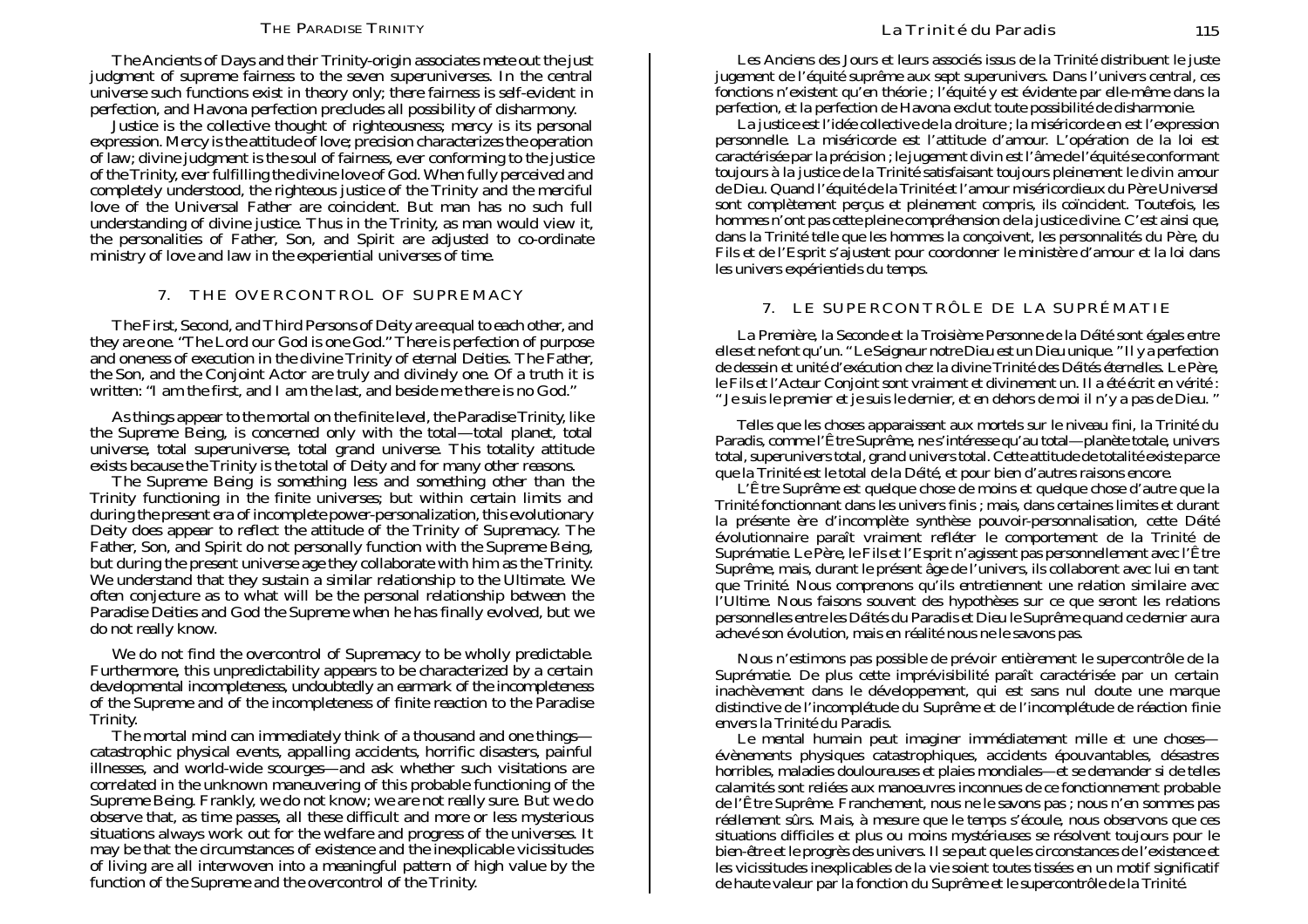The Ancients of Days and their Trinity-origin associates mete out the just judgment of supreme fairness to the seven superuniverses. In the central universe such functions exist in theory only; there fairness is self-evident in perfection, and Havona perfection precludes all possibility of disharmony.

Justice is the collective thought of righteousness; mercy is its personal expression. Mercy is the attitude of love; precision characterizes the operation of law; divine judgment is the soul of fairness, ever conforming to the justice of the Trinity, ever fulfilling the divine love of God. When fully perceived and completely understood, the righteous justice of the Trinity and the merciful love of the Universal Father are coincident. But man has no such full understanding of divine justice. Thus in the Trinity, as man would view it, the personalities of Father, Son, and Spirit are adjusted to co-ordinate ministry of love and law in the experiential universes of time.

#### 7. THE OVERCONTROL OF SUPREMACY

The First, Second, and Third Persons of Deity are equal to each other, and they are one. "The Lord our God is one God." There is perfection of purpose and oneness of execution in the divine Trinity of eternal Deities. The Father, the Son, and the Conjoint Actor are truly and divinely one. Of a truth it is written: "I am the first, and I am the last, and beside me there is no God."

As things appear to the mortal on the finite level, the Paradise Trinity, like the Supreme Being, is concerned only with the total—total planet, total universe, total superuniverse, total grand universe. This totality attitude exists because the Trinity is the total of Deity and for many other reasons.

The Supreme Being is something less and something other than the Trinity functioning in the finite universes; but within certain limits and during the present era of incomplete power-personalization, this evolutionary Deity does appear to reflect the attitude of the Trinity of Supremacy. The Father, Son, and Spirit do not personally function with the Supreme Being, but during the present universe age they collaborate with him as the Trinity. We understand that they sustain a similar relationship to the Ultimate. We often conjecture as to what will be the personal relationship between the Paradise Deities and God the Supreme when he has finally evolved, but we do not really know.

We do not find the overcontrol of Supremacy to be wholly predictable. Furthermore, this unpredictability appears to be characterized by a certain developmental incompleteness, undoubtedly an earmark of the incompleteness of the Supreme and of the incompleteness of finite reaction to the Paradise Trinity.

The mortal mind can immediately think of a thousand and one things catastrophic physical events, appalling accidents, horrific disasters, painful illnesses, and world-wide scourges—and ask whether such visitations are correlated in the unknown maneuvering of this probable functioning of the Supreme Being. Frankly, we do not know; we are not really sure. But we do observe that, as time passes, all these difficult and more or less mysterious situations *always* work out for the welfare and progress of the universes. It may be that the circumstances of existence and the inexplicable vicissitudes of living are all interwoven into a meaningful pattern of high value by the function of the Supreme and the overcontrol of the Trinity.

#### La Trinité du Paradis 115

Les Anciens des Jours et leurs associés issus de la Trinité distribuent le juste jugement de l'équité suprême aux sept superunivers. Dans l'univers central, ces fonctions n'existent qu'en théorie ; l'équité y est évidente par elle-même dans la perfection, et la perfection de Havona exclut toute possibilité de disharmonie.

La justice est l'idée collective de la droiture ; la miséricorde en est l'expression personnelle. La miséricorde est l'attitude d'amour. L'opération de la loi est caractérisée par la précision ; le jugement divin est l'âme de l'équité se conformant toujours à la justice de la Trinité satisfaisant toujours pleinement le divin amour de Dieu. Quand l'équité de la Trinité et l'amour miséricordieux du Père Universel sont complètement perçus et pleinement compris, ils coïncident. Toutefois, les hommes n'ont pas cette pleine compréhension de la justice divine. C'est ainsi que, dans la Trinité telle que les hommes la conçoivent, les personnalités du Père, du Fils et de l'Esprit s'ajustent pour coordonner le ministère d'amour et la loi dans les univers expérientiels du temps.

#### 7. LE SUPERCONTRÔLE DE LA SUPRÉMATIE

La Première, la Seconde et la Troisième Personne de la Déité sont égales entre elles et ne font qu'un. " Le Seigneur notre Dieu est un Dieu unique. " Il y a perfection de dessein et unité d'exécution chez la divine Trinité des Déités éternelles. Le Père, le Fils et l'Acteur Conjoint sont vraiment et divinement un. Il a été écrit en vérité : " Je suis le premier et je suis le dernier, et en dehors de moi il n'y a pas de Dieu. "

Telles que les choses apparaissent aux mortels sur le niveau fini, la Trinité du Paradis, comme l'Être Suprême, ne s'intéresse qu'au total—planète totale, univers total, superunivers total, grand univers total. Cette attitude de totalité existe parce

que la Trinité est le total de la Déité, et pour bien d'autres raisons encore. L'Être Suprême est quelque chose de moins et quelque chose d'autre que la Trinité fonctionnant dans les univers finis ; mais, dans certaines limites et durant la présente ère d'incomplète synthèse pouvoir-personnalisation, cette Déité évolutionnaire paraît vraiment refléter le comportement de la Trinité de Suprématie. Le Père, le Fils et l'Esprit n'agissent pas personnellement avec l'Être Suprême, mais, durant le présent âge de l'univers, ils collaborent avec lui en tant que Trinité. Nous comprenons qu'ils entretiennent une relation similaire avec l'Ultime. Nous faisons souvent des hypothèses sur ce que seront les relations personnelles entre les Déités du Paradis et Dieu le Suprême quand ce dernier aura achevé son évolution, mais en réalité nous ne le savons pas.

Nous n'estimons pas possible de prévoir entièrement le supercontrôle de la Suprématie. De plus cette imprévisibilité paraît caractérisée par un certain inachèvement dans le développement, qui est sans nul doute une marque distinctive de l'incomplétude du Suprême et de l'incomplétude de réaction finie envers la Trinité du Paradis.

Le mental humain peut imaginer immédiatement mille et une choses évènements physiques catastrophiques, accidents épouvantables, désastres horribles, maladies douloureuses et plaies mondiales—et se demander si de telles calamités sont reliées aux manoeuvres inconnues de ce fonctionnement probable de l'Être Suprême. Franchement, nous ne le savons pas ; nous n'en sommes pas réellement sûrs. Mais, à mesure que le temps s'écoule, nous observons que ces situations difficiles et plus ou moins mystérieuses se résolvent *toujours* pour le bien-être et le progrès des univers. Il se peut que les circonstances de l'existence et les vicissitudes inexplicables de la vie soient toutes tissées en un motif significatif de haute valeur par la fonction du Suprême et le supercontrôle de la Trinité.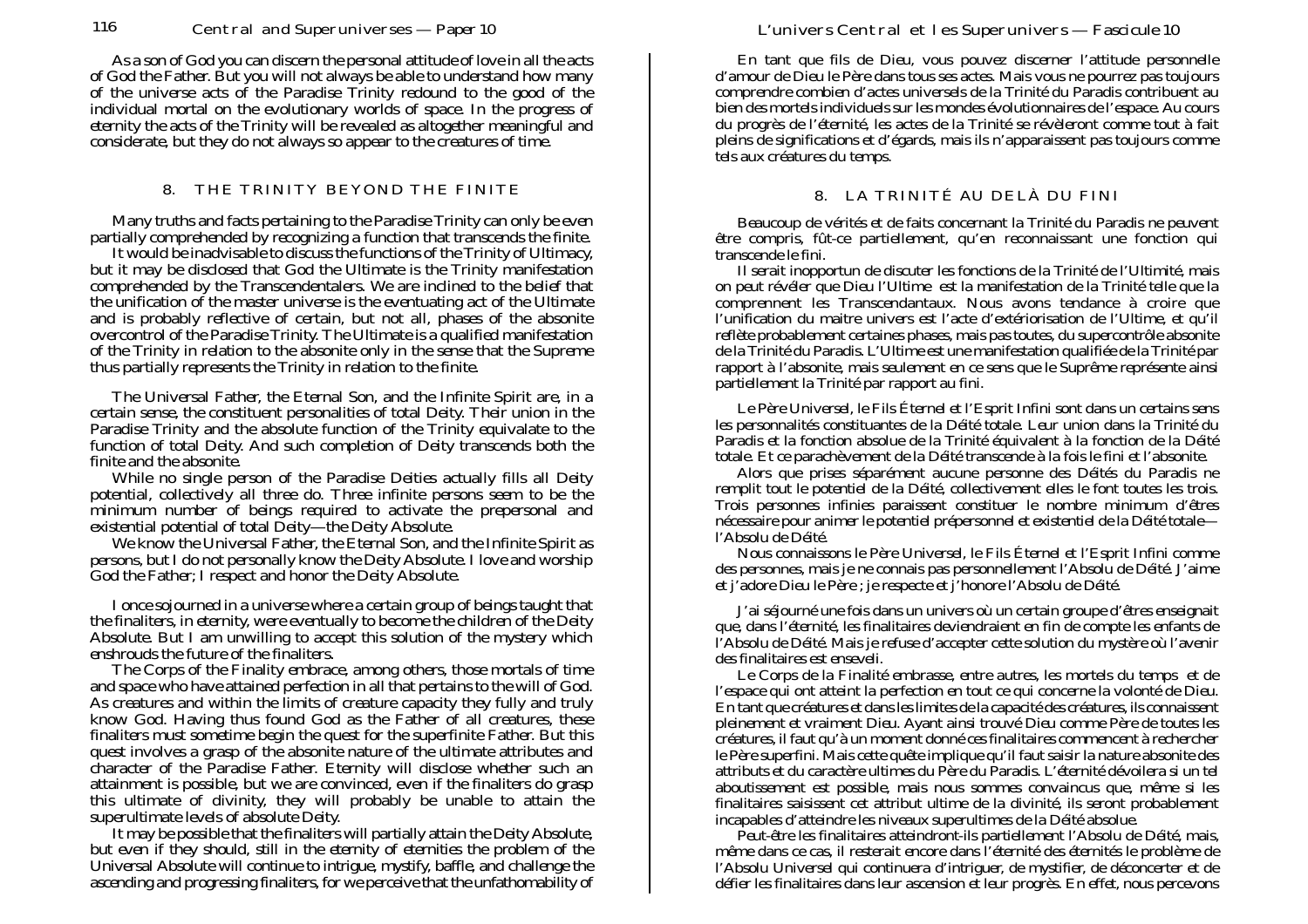As a son of God you can discern the personal attitude of love in all the acts of God the Father. But you will not always be able to understand how many of the universe acts of the Paradise Trinity redound to the good of the individual mortal on the evolutionary worlds of space. In the progress of eternity the acts of the Trinity will be revealed as altogether meaningful and considerate, but they do not always so appear to the creatures of time.

### 8. THE TRINITY BEYOND THE FINITE

Many truths and facts pertaining to the Paradise Trinity can only be even partially comprehended by recognizing a function that transcends the finite.

It would be inadvisable to discuss the functions of the Trinity of Ultimacy, but it may be disclosed that God the Ultimate is the Trinity manifestation comprehended by the Transcendentalers. We are inclined to the belief that the unification of the master universe is the eventuating act of the Ultimate and is probably reflective of certain, but not all, phases of the absonite overcontrol of the Paradise Trinity. The Ultimate is a qualified manifestation of the Trinity in relation to the absonite only in the sense that the Supreme thus partially represents the Trinity in relation to the finite.

The Universal Father, the Eternal Son, and the Infinite Spirit are, in a certain sense, the constituent personalities of total Deity. Their union in the Paradise Trinity and the absolute function of the Trinity equivalate to the function of total Deity. And such completion of Deity transcends both the finite and the absonite.

While no single person of the Paradise Deities actually fills all Deity potential, collectively all three do. Three infinite persons seem to be the minimum number of beings required to activate the prepersonal and existential potential of total Deity—the Deity Absolute.

We know the Universal Father, the Eternal Son, and the Infinite Spirit as *persons,* but I do not personally know the Deity Absolute. I love and worship God the Father; I respect and honor the Deity Absolute.

I once sojourned in a universe where a certain group of beings taught that the finaliters, in eternity, were eventually to become the children of the Deity Absolute. But I am unwilling to accept this solution of the mystery which enshrouds the future of the finaliters.

The Corps of the Finality embrace, among others, those mortals of time and space who have attained perfection in all that pertains to the will of God. As creatures and within the limits of creature capacity they fully and truly know God. Having thus found God as the Father of all creatures, these finaliters must sometime begin the quest for the superfinite Father. But this quest involves a grasp of the absonite nature of the ultimate attributes and character of the Paradise Father. Eternity will disclose whether such an attainment is possible, but we are convinced, even if the finaliters do grasp this ultimate of divinity, they will probably be unable to attain the superultimate levels of absolute Deity.

It may be possible that the finaliters will partially attain the Deity Absolute, but even if they should, still in the eternity of eternities the problem of the Universal Absolute will continue to intrigue, mystify, baffle, and challenge the ascending and progressing finaliters, for we perceive that the unfathomability of

En tant que fils de Dieu, vous pouvez discerner l'attitude personnelle d'amour de Dieu le Père dans tous ses actes. Mais vous ne pourrez pas toujours comprendre combien d'actes universels de la Trinité du Paradis contribuent au bien des mortels individuels sur les mondes évolutionnaires de l'espace. Au cours du progrès de l'éternité, les actes de la Trinité se révèleront comme tout à fait pleins de significations et d'égards, mais ils n'apparaissent pas toujours comme tels aux créatures du temps.

# 8. LA TRINITÉ AU DELÀ DU FINI

Beaucoup de vérités et de faits concernant la Trinité du Paradis ne peuvent être compris, fût-ce partiellement, qu'en reconnaissant une fonction qui transcende le fini.

Il serait inopportun de discuter les fonctions de la Trinité de l'Ultimité, mais on peut révéler que Dieu l'Ultime est la manifestation de la Trinité telle que la comprennent les Transcendantaux. Nous avons tendance à croire que l'unification du maitre univers est l'acte d'extériorisation de l'Ultime, et qu'il reflète probablement certaines phases, mais pas toutes, du supercontrôle absonite de la Trinité du Paradis. L'Ultime est une manifestation qualifiée de la Trinité par rapport à l'absonite, mais seulement en ce sens que le Suprême représente ainsi partiellement la Trinité par rapport au fini.

Le Père Universel, le Fils Éternel et l'Esprit Infini sont dans un certains sens les personnalités constituantes de la Déité totale. Leur union dans la Trinité du Paradis et la fonction absolue de la Trinité équivalent à la fonction de la Déité totale. Et ce parachèvement de la Déité transcende à la fois le fini et l'absonite.

Alors que prises séparément aucune personne des Déités du Paradis ne remplit tout le potentiel de la Déité, collectivement elles le font toutes les trois. Trois personnes infinies paraissent constituer le nombre minimum d'êtres nécessaire pour animer le potentiel prépersonnel et existentiel de la Déité totale l'Absolu de Déité.

Nous connaissons le Père Universel, le Fils Éternel et l'Esprit Infini comme des *personnes*, mais je ne connais pas personnellement l'Absolu de Déité. J'aime et j'adore Dieu le Père ; je respecte et j'honore l'Absolu de Déité.

J'ai séjourné une fois dans un univers où un certain groupe d'êtres enseignait que, dans l'éternité, les finalitaires deviendraient en fin de compte les enfants de l'Absolu de Déité. Mais je refuse d'accepter cette solution du mystère où l'avenir des finalitaires est enseveli.

Le Corps de la Finalité embrasse, entre autres, les mortels du temps et de l'espace qui ont atteint la perfection en tout ce qui concerne la volonté de Dieu. En tant que créatures et dans les limites de la capacité des créatures, ils connaissent pleinement et vraiment Dieu. Ayant ainsi trouvé Dieu comme Père de toutes les créatures, il faut qu'à un moment donné ces finalitaires commencent à rechercher le Père superfini. Mais cette quête implique qu'il faut saisir la nature absonite des attributs et du caractère ultimes du Père du Paradis. L'éternité dévoilera si un tel aboutissement est possible, mais nous sommes convaincus que, même si les finalitaires saisissent cet attribut ultime de la divinité, ils seront probablement incapables d'atteindre les niveaux superultimes de la Déité absolue.

Peut-être les finalitaires atteindront-ils partiellement l'Absolu de Déité, mais, même dans ce cas, il resterait encore dans l'éternité des éternités le problème de l'Absolu Universel qui continuera d'intriguer, de mystifier, de déconcerter et de défier les finalitaires dans leur ascension et leur progrès. En effet, nous percevons